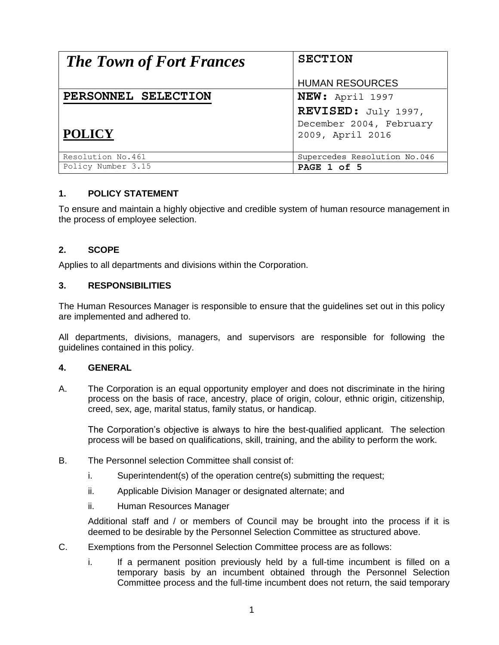| <b>The Town of Fort Frances</b> | <b>SECTION</b>               |
|---------------------------------|------------------------------|
|                                 | <b>HUMAN RESOURCES</b>       |
| PERSONNEL SELECTION             | NEW: April 1997              |
|                                 | REVISED: July 1997,          |
|                                 | December 2004, February      |
| <b>POLICY</b>                   | 2009, April 2016             |
|                                 |                              |
| Resolution No.461               | Supercedes Resolution No.046 |
| Policy Number 3.15              | PAGE 1 of 5                  |

### **1. POLICY STATEMENT**

To ensure and maintain a highly objective and credible system of human resource management in the process of employee selection.

### **2. SCOPE**

Applies to all departments and divisions within the Corporation.

#### **3. RESPONSIBILITIES**

The Human Resources Manager is responsible to ensure that the guidelines set out in this policy are implemented and adhered to.

All departments, divisions, managers, and supervisors are responsible for following the guidelines contained in this policy.

#### **4. GENERAL**

A. The Corporation is an equal opportunity employer and does not discriminate in the hiring process on the basis of race, ancestry, place of origin, colour, ethnic origin, citizenship, creed, sex, age, marital status, family status, or handicap.

The Corporation's objective is always to hire the best-qualified applicant. The selection process will be based on qualifications, skill, training, and the ability to perform the work.

- B. The Personnel selection Committee shall consist of:
	- i. Superintendent(s) of the operation centre(s) submitting the request;
	- ii. Applicable Division Manager or designated alternate; and
	- ii. Human Resources Manager

Additional staff and / or members of Council may be brought into the process if it is deemed to be desirable by the Personnel Selection Committee as structured above.

- C. Exemptions from the Personnel Selection Committee process are as follows:
	- i. If a permanent position previously held by a full-time incumbent is filled on a temporary basis by an incumbent obtained through the Personnel Selection Committee process and the full-time incumbent does not return, the said temporary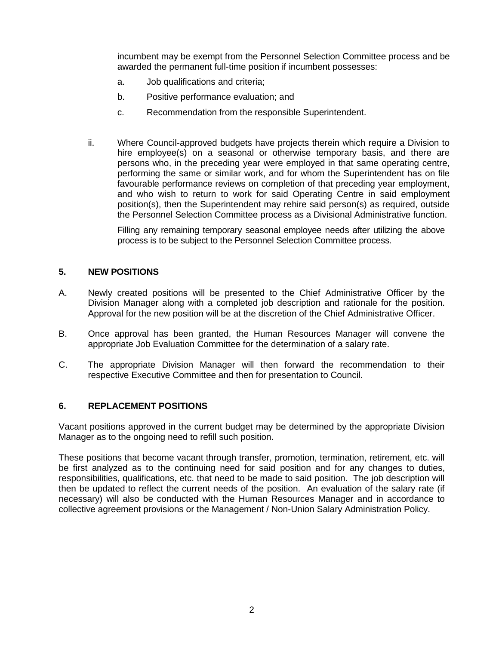incumbent may be exempt from the Personnel Selection Committee process and be awarded the permanent full-time position if incumbent possesses:

- a. Job qualifications and criteria;
- b. Positive performance evaluation; and
- c. Recommendation from the responsible Superintendent.
- ii. Where Council-approved budgets have projects therein which require a Division to hire employee(s) on a seasonal or otherwise temporary basis, and there are persons who, in the preceding year were employed in that same operating centre, performing the same or similar work, and for whom the Superintendent has on file favourable performance reviews on completion of that preceding year employment, and who wish to return to work for said Operating Centre in said employment position(s), then the Superintendent may rehire said person(s) as required, outside the Personnel Selection Committee process as a Divisional Administrative function.

Filling any remaining temporary seasonal employee needs after utilizing the above process is to be subject to the Personnel Selection Committee process.

### **5. NEW POSITIONS**

- A. Newly created positions will be presented to the Chief Administrative Officer by the Division Manager along with a completed job description and rationale for the position. Approval for the new position will be at the discretion of the Chief Administrative Officer.
- B. Once approval has been granted, the Human Resources Manager will convene the appropriate Job Evaluation Committee for the determination of a salary rate.
- C. The appropriate Division Manager will then forward the recommendation to their respective Executive Committee and then for presentation to Council.

### **6. REPLACEMENT POSITIONS**

Vacant positions approved in the current budget may be determined by the appropriate Division Manager as to the ongoing need to refill such position.

These positions that become vacant through transfer, promotion, termination, retirement, etc. will be first analyzed as to the continuing need for said position and for any changes to duties, responsibilities, qualifications, etc. that need to be made to said position. The job description will then be updated to reflect the current needs of the position. An evaluation of the salary rate (if necessary) will also be conducted with the Human Resources Manager and in accordance to collective agreement provisions or the Management / Non-Union Salary Administration Policy.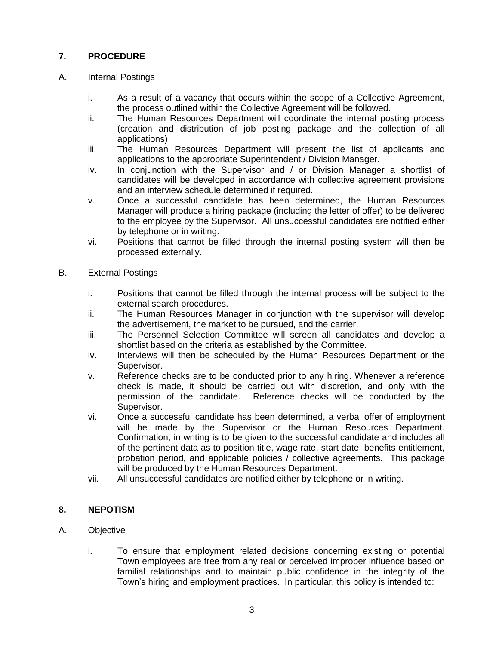# **7. PROCEDURE**

## A. Internal Postings

- i. As a result of a vacancy that occurs within the scope of a Collective Agreement, the process outlined within the Collective Agreement will be followed.
- ii. The Human Resources Department will coordinate the internal posting process (creation and distribution of job posting package and the collection of all applications)
- iii. The Human Resources Department will present the list of applicants and applications to the appropriate Superintendent / Division Manager.
- iv. In conjunction with the Supervisor and / or Division Manager a shortlist of candidates will be developed in accordance with collective agreement provisions and an interview schedule determined if required.
- v. Once a successful candidate has been determined, the Human Resources Manager will produce a hiring package (including the letter of offer) to be delivered to the employee by the Supervisor. All unsuccessful candidates are notified either by telephone or in writing.
- vi. Positions that cannot be filled through the internal posting system will then be processed externally.
- B. External Postings
	- i. Positions that cannot be filled through the internal process will be subject to the external search procedures.
	- ii. The Human Resources Manager in conjunction with the supervisor will develop the advertisement, the market to be pursued, and the carrier.
	- iii. The Personnel Selection Committee will screen all candidates and develop a shortlist based on the criteria as established by the Committee.
	- iv. Interviews will then be scheduled by the Human Resources Department or the Supervisor.
	- v. Reference checks are to be conducted prior to any hiring. Whenever a reference check is made, it should be carried out with discretion, and only with the permission of the candidate. Reference checks will be conducted by the Supervisor.
	- vi. Once a successful candidate has been determined, a verbal offer of employment will be made by the Supervisor or the Human Resources Department. Confirmation, in writing is to be given to the successful candidate and includes all of the pertinent data as to position title, wage rate, start date, benefits entitlement, probation period, and applicable policies / collective agreements. This package will be produced by the Human Resources Department.
	- vii. All unsuccessful candidates are notified either by telephone or in writing.

### **8. NEPOTISM**

- A. Objective
	- i. To ensure that employment related decisions concerning existing or potential Town employees are free from any real or perceived improper influence based on familial relationships and to maintain public confidence in the integrity of the Town's hiring and employment practices. In particular, this policy is intended to: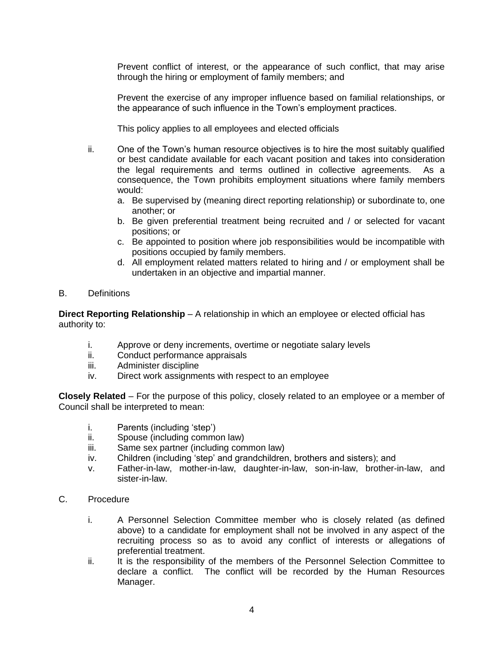Prevent conflict of interest, or the appearance of such conflict, that may arise through the hiring or employment of family members; and

Prevent the exercise of any improper influence based on familial relationships, or the appearance of such influence in the Town's employment practices.

This policy applies to all employees and elected officials

- ii. One of the Town's human resource objectives is to hire the most suitably qualified or best candidate available for each vacant position and takes into consideration the legal requirements and terms outlined in collective agreements. As a consequence, the Town prohibits employment situations where family members would:
	- a. Be supervised by (meaning direct reporting relationship) or subordinate to, one another; or
	- b. Be given preferential treatment being recruited and / or selected for vacant positions; or
	- c. Be appointed to position where job responsibilities would be incompatible with positions occupied by family members.
	- d. All employment related matters related to hiring and / or employment shall be undertaken in an objective and impartial manner.
- B. Definitions

**Direct Reporting Relationship** – A relationship in which an employee or elected official has authority to:

- i. Approve or deny increments, overtime or negotiate salary levels
- ii. Conduct performance appraisals
- iii. Administer discipline
- iv. Direct work assignments with respect to an employee

**Closely Related** – For the purpose of this policy, closely related to an employee or a member of Council shall be interpreted to mean:

- i. Parents (including 'step')
- ii. Spouse (including common law)
- iii. Same sex partner (including common law)
- iv. Children (including 'step' and grandchildren, brothers and sisters); and
- v. Father-in-law, mother-in-law, daughter-in-law, son-in-law, brother-in-law, and sister-in-law.
- C. Procedure
	- i. A Personnel Selection Committee member who is closely related (as defined above) to a candidate for employment shall not be involved in any aspect of the recruiting process so as to avoid any conflict of interests or allegations of preferential treatment.
	- ii. It is the responsibility of the members of the Personnel Selection Committee to declare a conflict. The conflict will be recorded by the Human Resources Manager.